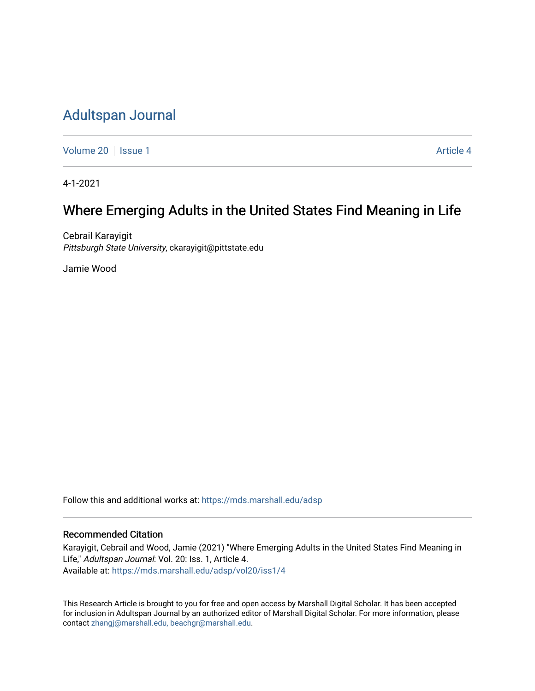# [Adultspan Journal](https://mds.marshall.edu/adsp)

[Volume 20](https://mds.marshall.edu/adsp/vol20) | [Issue 1](https://mds.marshall.edu/adsp/vol20/iss1) Article 4

4-1-2021

# Where Emerging Adults in the United States Find Meaning in Life

Cebrail Karayigit Pittsburgh State University, ckarayigit@pittstate.edu

Jamie Wood

Follow this and additional works at: [https://mds.marshall.edu/adsp](https://mds.marshall.edu/adsp?utm_source=mds.marshall.edu%2Fadsp%2Fvol20%2Fiss1%2F4&utm_medium=PDF&utm_campaign=PDFCoverPages) 

# Recommended Citation

Karayigit, Cebrail and Wood, Jamie (2021) "Where Emerging Adults in the United States Find Meaning in Life," Adultspan Journal: Vol. 20: Iss. 1, Article 4. Available at: [https://mds.marshall.edu/adsp/vol20/iss1/4](https://mds.marshall.edu/adsp/vol20/iss1/4?utm_source=mds.marshall.edu%2Fadsp%2Fvol20%2Fiss1%2F4&utm_medium=PDF&utm_campaign=PDFCoverPages) 

This Research Article is brought to you for free and open access by Marshall Digital Scholar. It has been accepted for inclusion in Adultspan Journal by an authorized editor of Marshall Digital Scholar. For more information, please contact [zhangj@marshall.edu, beachgr@marshall.edu](mailto:zhangj@marshall.edu,%20beachgr@marshall.edu).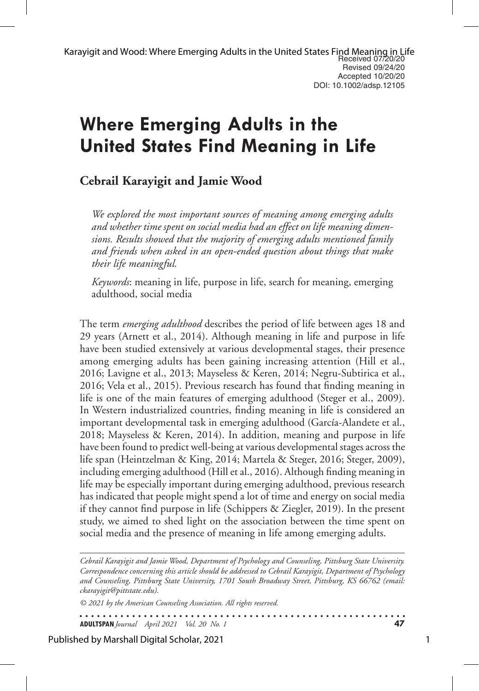# **Where Emerging Adults in the United States Find Meaning in Life**

# **Cebrail Karayigit and Jamie Wood**

*We explored the most important sources of meaning among emerging adults and whether time spent on social media had an effect on life meaning dimensions. Results showed that the majority of emerging adults mentioned family and friends when asked in an open-ended question about things that make their life meaningful.* 

*Keywords*: meaning in life, purpose in life, search for meaning, emerging adulthood, social media

The term *emerging adulthood* describes the period of life between ages 18 and 29 years (Arnett et al., 2014). Although meaning in life and purpose in life have been studied extensively at various developmental stages, their presence among emerging adults has been gaining increasing attention (Hill et al., 2016; Lavigne et al., 2013; Mayseless & Keren, 2014; Negru-Subtirica et al., 2016; Vela et al., 2015). Previous research has found that finding meaning in life is one of the main features of emerging adulthood (Steger et al., 2009). In Western industrialized countries, finding meaning in life is considered an important developmental task in emerging adulthood (García-Alandete et al., 2018; Mayseless & Keren, 2014). In addition, meaning and purpose in life have been found to predict well-being at various developmental stages across the life span (Heintzelman & King, 2014; Martela & Steger, 2016; Steger, 2009), including emerging adulthood (Hill et al., 2016). Although finding meaning in life may be especially important during emerging adulthood, previous research has indicated that people might spend a lot of time and energy on social media if they cannot find purpose in life (Schippers & Ziegler, 2019). In the present study, we aimed to shed light on the association between the time spent on social media and the presence of meaning in life among emerging adults.

*Cebrail Karayigit and Jamie Wood, Department of Psychology and Counseling, Pittsburg State University. Correspondence concerning this article should be addressed to Cebrail Karayigit, Department of Psychology and Counseling, Pittsburg State University, 1701 South Broadway Street, Pittsburg, KS 66762 (email: ckarayigit@pittstate.edu).* 

. . . . . . . . . . . . . . . . .

*© 2021 by the American Counseling Association. All rights reserved.*

**ADULTSPAN***Journal April 2021 Vol. 20 No. 1* **47**

Published by Marshall Digital Scholar, 2021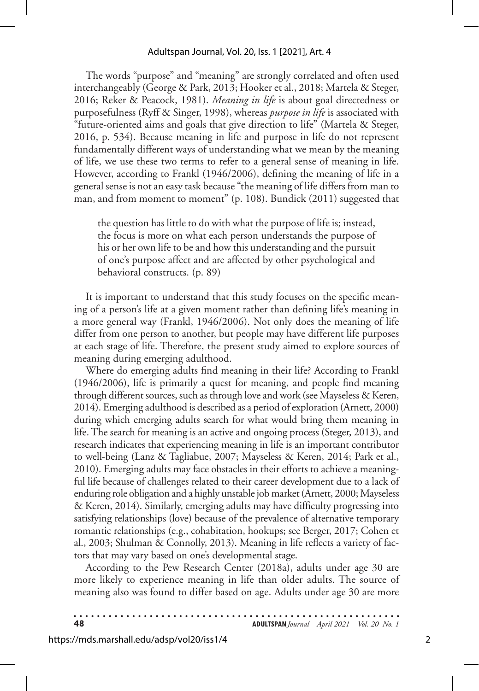#### Adultspan Journal, Vol. 20, Iss. 1 [2021], Art. 4

The words "purpose" and "meaning" are strongly correlated and often used interchangeably (George & Park, 2013; Hooker et al., 2018; Martela & Steger, 2016; Reker & Peacock, 1981). *Meaning in life* is about goal directedness or purposefulness (Ryff & Singer, 1998), whereas *purpose in life* is associated with "future-oriented aims and goals that give direction to life" (Martela & Steger, 2016, p. 534). Because meaning in life and purpose in life do not represent fundamentally different ways of understanding what we mean by the meaning of life, we use these two terms to refer to a general sense of meaning in life. However, according to Frankl (1946/2006), defining the meaning of life in a general sense is not an easy task because "the meaning of life differs from man to man, and from moment to moment" (p. 108). Bundick (2011) suggested that

the question has little to do with what the purpose of life is; instead, the focus is more on what each person understands the purpose of his or her own life to be and how this understanding and the pursuit of one's purpose affect and are affected by other psychological and behavioral constructs. (p. 89)

It is important to understand that this study focuses on the specific meaning of a person's life at a given moment rather than defining life's meaning in a more general way (Frankl, 1946/2006). Not only does the meaning of life differ from one person to another, but people may have different life purposes at each stage of life. Therefore, the present study aimed to explore sources of meaning during emerging adulthood.

Where do emerging adults find meaning in their life? According to Frankl (1946/2006), life is primarily a quest for meaning, and people find meaning through different sources, such as through love and work (see Mayseless & Keren, 2014). Emerging adulthood is described as a period of exploration (Arnett, 2000) during which emerging adults search for what would bring them meaning in life. The search for meaning is an active and ongoing process (Steger, 2013), and research indicates that experiencing meaning in life is an important contributor to well-being (Lanz & Tagliabue, 2007; Mayseless & Keren, 2014; Park et al., 2010). Emerging adults may face obstacles in their efforts to achieve a meaningful life because of challenges related to their career development due to a lack of enduring role obligation and a highly unstable job market (Arnett, 2000; Mayseless & Keren, 2014). Similarly, emerging adults may have difficulty progressing into satisfying relationships (love) because of the prevalence of alternative temporary romantic relationships (e.g., cohabitation, hookups; see Berger, 2017; Cohen et al., 2003; Shulman & Connolly, 2013). Meaning in life reflects a variety of factors that may vary based on one's developmental stage.

According to the Pew Research Center (2018a), adults under age 30 are more likely to experience meaning in life than older adults. The source of meaning also was found to differ based on age. Adults under age 30 are more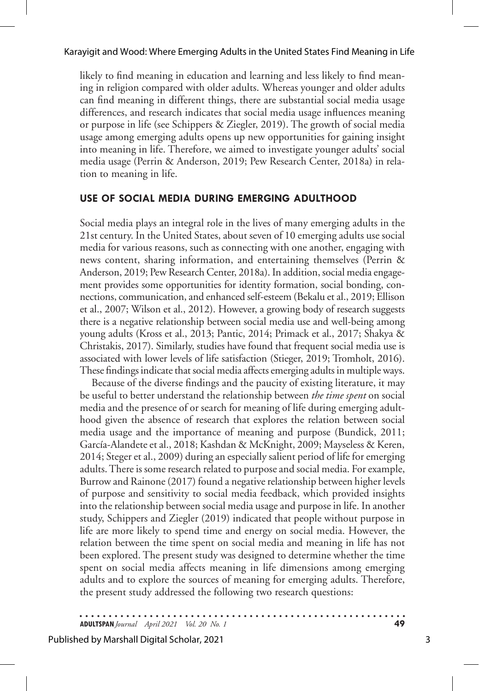likely to find meaning in education and learning and less likely to find meaning in religion compared with older adults. Whereas younger and older adults can find meaning in different things, there are substantial social media usage differences, and research indicates that social media usage influences meaning or purpose in life (see Schippers & Ziegler, 2019). The growth of social media usage among emerging adults opens up new opportunities for gaining insight into meaning in life. Therefore, we aimed to investigate younger adults' social media usage (Perrin & Anderson, 2019; Pew Research Center, 2018a) in relation to meaning in life.

# **USE OF SOCIAL MEDIA DURING EMERGING ADULTHOOD**

Social media plays an integral role in the lives of many emerging adults in the 21st century. In the United States, about seven of 10 emerging adults use social media for various reasons, such as connecting with one another, engaging with news content, sharing information, and entertaining themselves (Perrin & Anderson, 2019; Pew Research Center, 2018a). In addition, social media engagement provides some opportunities for identity formation, social bonding, connections, communication, and enhanced self-esteem (Bekalu et al., 2019; Ellison et al., 2007; Wilson et al., 2012). However, a growing body of research suggests there is a negative relationship between social media use and well-being among young adults (Kross et al., 2013; Pantic, 2014; Primack et al., 2017; Shakya & Christakis, 2017). Similarly, studies have found that frequent social media use is associated with lower levels of life satisfaction (Stieger, 2019; Tromholt, 2016). These findings indicate that social media affects emerging adults in multiple ways.

Because of the diverse findings and the paucity of existing literature, it may be useful to better understand the relationship between *the time spent* on social media and the presence of or search for meaning of life during emerging adulthood given the absence of research that explores the relation between social media usage and the importance of meaning and purpose (Bundick, 2011; García-Alandete et al., 2018; Kashdan & McKnight, 2009; Mayseless & Keren, 2014; Steger et al., 2009) during an especially salient period of life for emerging adults. There is some research related to purpose and social media. For example, Burrow and Rainone (2017) found a negative relationship between higher levels of purpose and sensitivity to social media feedback, which provided insights into the relationship between social media usage and purpose in life. In another study, Schippers and Ziegler (2019) indicated that people without purpose in life are more likely to spend time and energy on social media. However, the relation between the time spent on social media and meaning in life has not been explored. The present study was designed to determine whether the time spent on social media affects meaning in life dimensions among emerging adults and to explore the sources of meaning for emerging adults. Therefore, the present study addressed the following two research questions: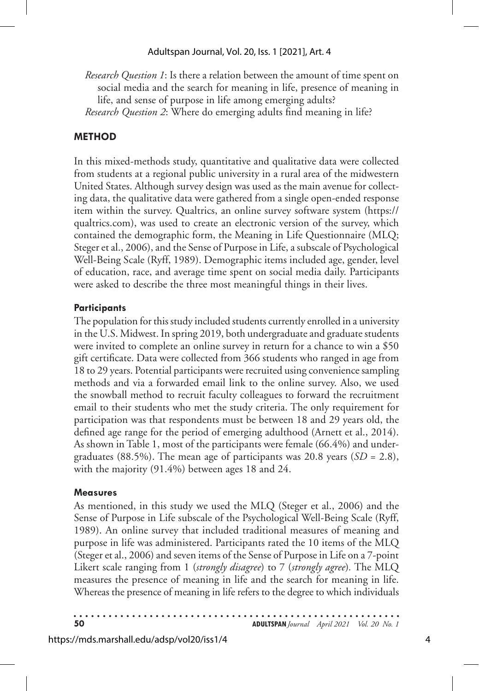# Adultspan Journal, Vol. 20, Iss. 1 [2021], Art. 4

*Research Question 1*: Is there a relation between the amount of time spent on social media and the search for meaning in life, presence of meaning in life, and sense of purpose in life among emerging adults? *Research Question 2*: Where do emerging adults find meaning in life?

# **METHOD**

In this mixed-methods study, quantitative and qualitative data were collected from students at a regional public university in a rural area of the midwestern United States. Although survey design was used as the main avenue for collecting data, the qualitative data were gathered from a single open-ended response item within the survey. Qualtrics, an online survey software system (https:// qualtrics.com), was used to create an electronic version of the survey, which contained the demographic form, the Meaning in Life Questionnaire (MLQ; Steger et al., 2006), and the Sense of Purpose in Life, a subscale of Psychological Well-Being Scale (Ryff, 1989). Demographic items included age, gender, level of education, race, and average time spent on social media daily. Participants were asked to describe the three most meaningful things in their lives.

# **Participants**

The population for this study included students currently enrolled in a university in the U.S. Midwest. In spring 2019, both undergraduate and graduate students were invited to complete an online survey in return for a chance to win a \$50 gift certificate. Data were collected from 366 students who ranged in age from 18 to 29 years. Potential participants were recruited using convenience sampling methods and via a forwarded email link to the online survey. Also, we used the snowball method to recruit faculty colleagues to forward the recruitment email to their students who met the study criteria. The only requirement for participation was that respondents must be between 18 and 29 years old, the defined age range for the period of emerging adulthood (Arnett et al., 2014). As shown in Table 1, most of the participants were female (66.4%) and undergraduates (88.5%). The mean age of participants was 20.8 years (*SD* = 2.8), with the majority (91.4%) between ages 18 and 24.

# **Measures**

As mentioned, in this study we used the MLQ (Steger et al., 2006) and the Sense of Purpose in Life subscale of the Psychological Well-Being Scale (Ryff, 1989). An online survey that included traditional measures of meaning and purpose in life was administered. Participants rated the 10 items of the MLQ (Steger et al., 2006) and seven items of the Sense of Purpose in Life on a 7-point Likert scale ranging from 1 (*strongly disagree*) to 7 (*strongly agree*)*.* The MLQ measures the presence of meaning in life and the search for meaning in life. Whereas the presence of meaning in life refers to the degree to which individuals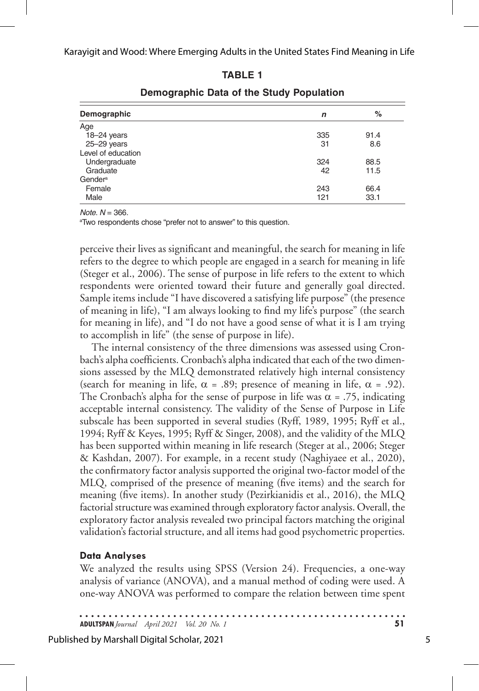## **TABLE 1**

| Demographic         | n   | %    |
|---------------------|-----|------|
| Age                 |     |      |
| $18 - 24$ years     | 335 | 91.4 |
| $25 - 29$ years     | 31  | 8.6  |
| Level of education  |     |      |
| Undergraduate       | 324 | 88.5 |
| Graduate            | 42  | 11.5 |
| Gender <sup>a</sup> |     |      |
| Female              | 243 | 66.4 |
| Male                | 121 | 33.1 |

# **Demographic Data of the Study Population**

*Note*.  $N = 366$ .

<sup>a</sup>Two respondents chose "prefer not to answer" to this question.

perceive their lives as significant and meaningful, the search for meaning in life refers to the degree to which people are engaged in a search for meaning in life (Steger et al., 2006). The sense of purpose in life refers to the extent to which respondents were oriented toward their future and generally goal directed. Sample items include "I have discovered a satisfying life purpose" (the presence of meaning in life), "I am always looking to find my life's purpose" (the search for meaning in life), and "I do not have a good sense of what it is I am trying to accomplish in life" (the sense of purpose in life).

The internal consistency of the three dimensions was assessed using Cronbach's alpha coefficients. Cronbach's alpha indicated that each of the two dimensions assessed by the MLQ demonstrated relatively high internal consistency (search for meaning in life,  $\alpha = .89$ ; presence of meaning in life,  $\alpha = .92$ ). The Cronbach's alpha for the sense of purpose in life was  $\alpha = .75$ , indicating acceptable internal consistency. The validity of the Sense of Purpose in Life subscale has been supported in several studies (Ryff, 1989, 1995; Ryff et al., 1994; Ryff & Keyes, 1995; Ryff & Singer, 2008), and the validity of the MLQ has been supported within meaning in life research (Steger at al., 2006; Steger & Kashdan, 2007). For example, in a recent study (Naghiyaee et al., 2020), the confirmatory factor analysis supported the original two-factor model of the MLQ, comprised of the presence of meaning (five items) and the search for meaning (five items). In another study (Pezirkianidis et al., 2016), the MLQ factorial structure was examined through exploratory factor analysis. Overall, the exploratory factor analysis revealed two principal factors matching the original validation's factorial structure, and all items had good psychometric properties.

## **Data Analyses**

We analyzed the results using SPSS (Version 24). Frequencies, a one-way analysis of variance (ANOVA), and a manual method of coding were used. A one-way ANOVA was performed to compare the relation between time spent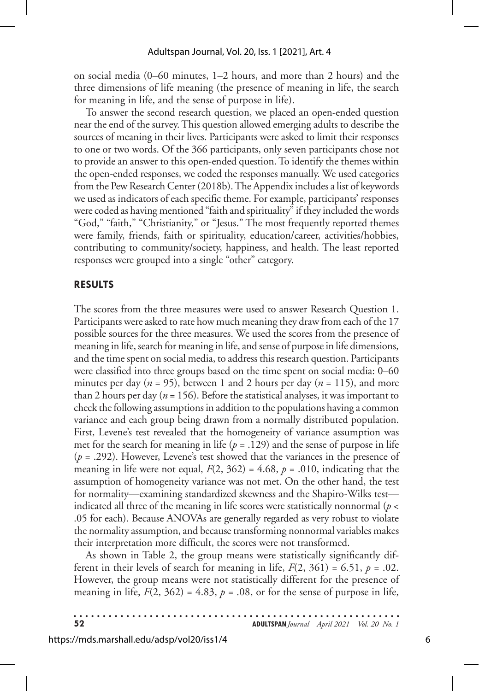on social media (0–60 minutes, 1–2 hours, and more than 2 hours) and the three dimensions of life meaning (the presence of meaning in life, the search for meaning in life, and the sense of purpose in life).

To answer the second research question, we placed an open-ended question near the end of the survey. This question allowed emerging adults to describe the sources of meaning in their lives. Participants were asked to limit their responses to one or two words. Of the 366 participants, only seven participants chose not to provide an answer to this open-ended question. To identify the themes within the open-ended responses, we coded the responses manually. We used categories from the Pew Research Center (2018b). The Appendix includes a list of keywords we used as indicators of each specific theme. For example, participants' responses were coded as having mentioned "faith and spirituality" if they included the words "God," "faith," "Christianity," or "Jesus." The most frequently reported themes were family, friends, faith or spirituality, education/career, activities/hobbies, contributing to community/society, happiness, and health. The least reported responses were grouped into a single "other" category.

#### **RESULTS**

The scores from the three measures were used to answer Research Question 1. Participants were asked to rate how much meaning they draw from each of the 17 possible sources for the three measures. We used the scores from the presence of meaning in life, search for meaning in life, and sense of purpose in life dimensions, and the time spent on social media, to address this research question. Participants were classified into three groups based on the time spent on social media: 0–60 minutes per day ( $n = 95$ ), between 1 and 2 hours per day ( $n = 115$ ), and more than 2 hours per day ( $n = 156$ ). Before the statistical analyses, it was important to check the following assumptions in addition to the populations having a common variance and each group being drawn from a normally distributed population. First, Levene's test revealed that the homogeneity of variance assumption was met for the search for meaning in life  $(p = .129)$  and the sense of purpose in life (*p* = .292). However, Levene's test showed that the variances in the presence of meaning in life were not equal,  $F(2, 362) = 4.68$ ,  $p = .010$ , indicating that the assumption of homogeneity variance was not met. On the other hand, the test for normality—examining standardized skewness and the Shapiro-Wilks test indicated all three of the meaning in life scores were statistically nonnormal (*p* < .05 for each). Because ANOVAs are generally regarded as very robust to violate the normality assumption, and because transforming nonnormal variables makes their interpretation more difficult, the scores were not transformed.

As shown in Table 2, the group means were statistically significantly different in their levels of search for meaning in life,  $F(2, 361) = 6.51$ ,  $p = .02$ . However, the group means were not statistically different for the presence of meaning in life,  $F(2, 362) = 4.83$ ,  $p = .08$ , or for the sense of purpose in life,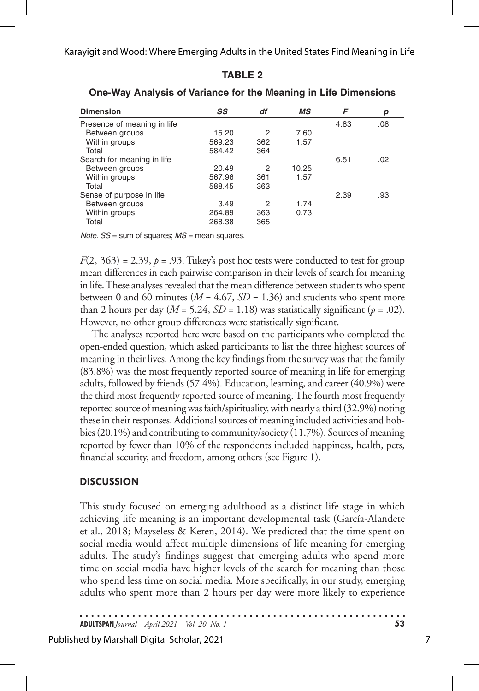| <b>Dimension</b>            | SS     | df  | МS    | F    | р   |  |  |
|-----------------------------|--------|-----|-------|------|-----|--|--|
| Presence of meaning in life |        |     |       | 4.83 | .08 |  |  |
| Between groups              | 15.20  | 2   | 7.60  |      |     |  |  |
| Within groups               | 569.23 | 362 | 1.57  |      |     |  |  |
| Total                       | 584.42 | 364 |       |      |     |  |  |
| Search for meaning in life  |        |     |       | 6.51 | .02 |  |  |
| Between groups              | 20.49  | 2   | 10.25 |      |     |  |  |
| Within groups               | 567.96 | 361 | 1.57  |      |     |  |  |
| Total                       | 588.45 | 363 |       |      |     |  |  |
| Sense of purpose in life    |        |     |       | 2.39 | .93 |  |  |
| Between groups              | 3.49   | 2   | 1.74  |      |     |  |  |
| Within groups               | 264.89 | 363 | 0.73  |      |     |  |  |
| Total                       | 268.38 | 365 |       |      |     |  |  |

**TABLE 2 One-Way Analysis of Variance for the Meaning in Life Dimensions** 

*Note*. *SS* = sum of squares; *MS* = mean squares.

 $F(2, 363) = 2.39, p = .93$ . Tukey's post hoc tests were conducted to test for group mean differences in each pairwise comparison in their levels of search for meaning in life. These analyses revealed that the mean difference between students who spent between 0 and 60 minutes ( $M = 4.67$ ,  $SD = 1.36$ ) and students who spent more than 2 hours per day ( $M = 5.24$ ,  $SD = 1.18$ ) was statistically significant ( $p = .02$ ). However, no other group differences were statistically significant.

The analyses reported here were based on the participants who completed the open-ended question, which asked participants to list the three highest sources of meaning in their lives. Among the key findings from the survey was that the family (83.8%) was the most frequently reported source of meaning in life for emerging adults, followed by friends (57.4%). Education, learning, and career (40.9%) were the third most frequently reported source of meaning. The fourth most frequently reported source of meaning was faith/spirituality, with nearly a third (32.9%) noting these in their responses. Additional sources of meaning included activities and hobbies (20.1%) and contributing to community/society (11.7%). Sources of meaning reported by fewer than 10% of the respondents included happiness, health, pets, financial security, and freedom, among others (see Figure 1).

# **DISCUSSION**

This study focused on emerging adulthood as a distinct life stage in which achieving life meaning is an important developmental task (García-Alandete et al., 2018; Mayseless & Keren, 2014). We predicted that the time spent on social media would affect multiple dimensions of life meaning for emerging adults. The study's findings suggest that emerging adults who spend more time on social media have higher levels of the search for meaning than those who spend less time on social media*.* More specifically, in our study, emerging adults who spent more than 2 hours per day were more likely to experience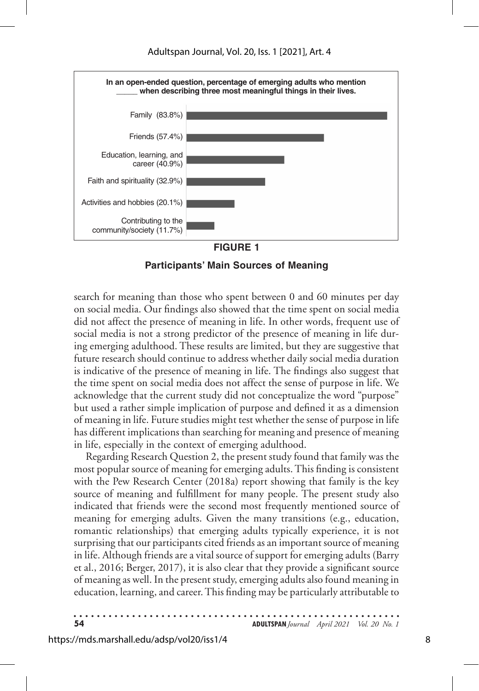

#### **FIGURE 1**

**Participants' Main Sources of Meaning**

search for meaning than those who spent between 0 and 60 minutes per day on social media. Our findings also showed that the time spent on social media did not affect the presence of meaning in life. In other words, frequent use of social media is not a strong predictor of the presence of meaning in life during emerging adulthood. These results are limited, but they are suggestive that future research should continue to address whether daily social media duration is indicative of the presence of meaning in life. The findings also suggest that the time spent on social media does not affect the sense of purpose in life. We acknowledge that the current study did not conceptualize the word "purpose" but used a rather simple implication of purpose and defined it as a dimension of meaning in life. Future studies might test whether the sense of purpose in life has different implications than searching for meaning and presence of meaning in life, especially in the context of emerging adulthood.

Regarding Research Question 2, the present study found that family was the most popular source of meaning for emerging adults. This finding is consistent with the Pew Research Center (2018a) report showing that family is the key source of meaning and fulfillment for many people. The present study also indicated that friends were the second most frequently mentioned source of meaning for emerging adults. Given the many transitions (e.g., education, romantic relationships) that emerging adults typically experience, it is not surprising that our participants cited friends as an important source of meaning in life. Although friends are a vital source of support for emerging adults (Barry et al., 2016; Berger, 2017), it is also clear that they provide a significant source of meaning as well. In the present study, emerging adults also found meaning in education, learning, and career. This finding may be particularly attributable to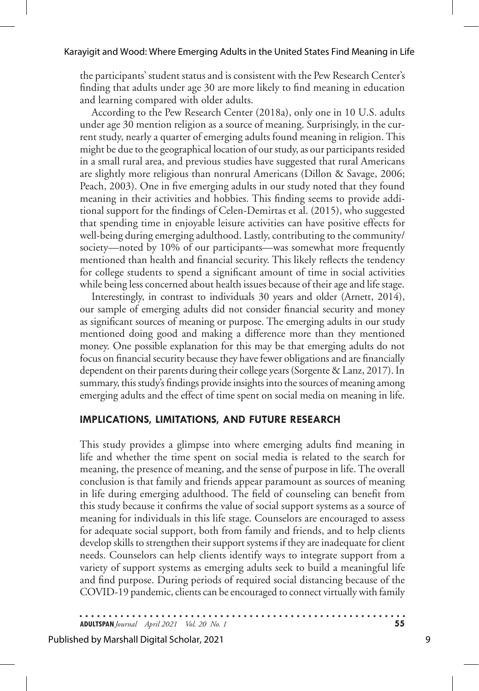the participants' student status and is consistent with the Pew Research Center's finding that adults under age 30 are more likely to find meaning in education and learning compared with older adults.

According to the Pew Research Center (2018a), only one in 10 U.S. adults under age 30 mention religion as a source of meaning. Surprisingly, in the current study, nearly a quarter of emerging adults found meaning in religion. This might be due to the geographical location of our study, as our participants resided in a small rural area, and previous studies have suggested that rural Americans are slightly more religious than nonrural Americans (Dillon & Savage, 2006; Peach, 2003). One in five emerging adults in our study noted that they found meaning in their activities and hobbies. This finding seems to provide additional support for the findings of Celen-Demirtas et al. (2015), who suggested that spending time in enjoyable leisure activities can have positive effects for well-being during emerging adulthood. Lastly, contributing to the community/ society—noted by 10% of our participants—was somewhat more frequently mentioned than health and financial security. This likely reflects the tendency for college students to spend a significant amount of time in social activities while being less concerned about health issues because of their age and life stage.

Interestingly, in contrast to individuals 30 years and older (Arnett, 2014), our sample of emerging adults did not consider financial security and money as significant sources of meaning or purpose. The emerging adults in our study mentioned doing good and making a difference more than they mentioned money. One possible explanation for this may be that emerging adults do not focus on financial security because they have fewer obligations and are financially dependent on their parents during their college years (Sorgente & Lanz, 2017). In summary, this study's findings provide insights into the sources of meaning among emerging adults and the effect of time spent on social media on meaning in life.

## **IMPLICATIONS, LIMITATIONS, AND FUTURE RESEARCH**

This study provides a glimpse into where emerging adults find meaning in life and whether the time spent on social media is related to the search for meaning, the presence of meaning, and the sense of purpose in life. The overall conclusion is that family and friends appear paramount as sources of meaning in life during emerging adulthood. The field of counseling can benefit from this study because it confirms the value of social support systems as a source of meaning for individuals in this life stage. Counselors are encouraged to assess for adequate social support, both from family and friends, and to help clients develop skills to strengthen their support systems if they are inadequate for client needs. Counselors can help clients identify ways to integrate support from a variety of support systems as emerging adults seek to build a meaningful life and find purpose. During periods of required social distancing because of the COVID-19 pandemic, clients can be encouraged to connect virtually with family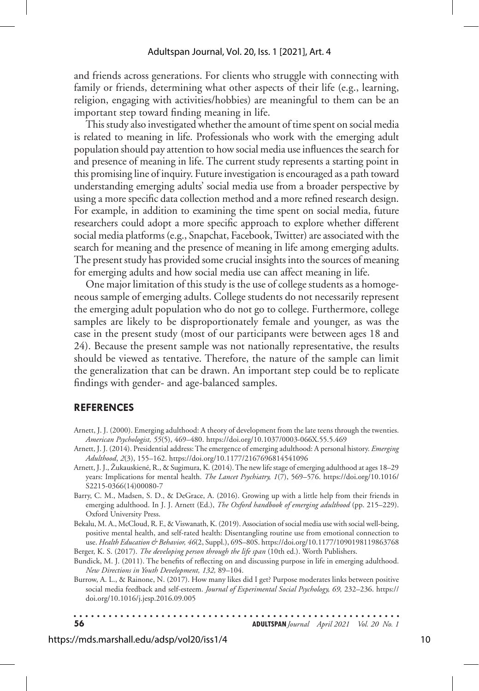and friends across generations. For clients who struggle with connecting with family or friends, determining what other aspects of their life (e.g., learning, religion, engaging with activities/hobbies) are meaningful to them can be an important step toward finding meaning in life.

This study also investigated whether the amount of time spent on social media is related to meaning in life. Professionals who work with the emerging adult population should pay attention to how social media use influences the search for and presence of meaning in life. The current study represents a starting point in this promising line of inquiry. Future investigation is encouraged as a path toward understanding emerging adults' social media use from a broader perspective by using a more specific data collection method and a more refined research design. For example, in addition to examining the time spent on social media, future researchers could adopt a more specific approach to explore whether different social media platforms (e.g., Snapchat, Facebook, Twitter) are associated with the search for meaning and the presence of meaning in life among emerging adults. The present study has provided some crucial insights into the sources of meaning for emerging adults and how social media use can affect meaning in life.

One major limitation of this study is the use of college students as a homogeneous sample of emerging adults. College students do not necessarily represent the emerging adult population who do not go to college. Furthermore, college samples are likely to be disproportionately female and younger, as was the case in the present study (most of our participants were between ages 18 and 24). Because the present sample was not nationally representative, the results should be viewed as tentative. Therefore, the nature of the sample can limit the generalization that can be drawn. An important step could be to replicate findings with gender- and age-balanced samples.

#### **REFERENCES**

- Arnett, J. J. (2000). Emerging adulthood: A theory of development from the late teens through the twenties. *American Psychologist, 55*(5), 469–480. https://doi.org/10.1037/0003-066X.55.5.469
- Arnett, J. J. (2014). Presidential address: The emergence of emerging adulthood: A personal history. *Emerging Adulthood*, *2*(3), 155–162. https://doi.org/10.1177/2167696814541096
- Arnett, J. J., Žukauskiene. , R., & Sugimura, K. (2014). The new life stage of emerging adulthood at ages 18–29 years: Implications for mental health. *The Lancet Psychiatry, 1*(7), 569–576. https://doi.org/10.1016/ S2215-0366(14)00080-7
- Barry, C. M., Madsen, S. D., & DeGrace, A. (2016). Growing up with a little help from their friends in emerging adulthood. In J. J. Arnett (Ed.), *The Oxford handbook of emerging adulthood* (pp. 215–229). Oxford University Press.
- Bekalu, M. A., McCloud, R. F., & Viswanath, K. (2019). Association of social media use with social well-being, positive mental health, and self-rated health: Disentangling routine use from emotional connection to use. *Health Education & Behavior, 46*(2, Suppl.), 69S–80S. https://doi.org/10.1177/1090198119863768 Berger, K. S. (2017). *The developing person through the life span* (10th ed.). Worth Publishers.
- Bundick, M. J. (2011). The benefits of reflecting on and discussing purpose in life in emerging adulthood. *New Directions in Youth Development, 132,* 89–104.
- Burrow, A. L., & Rainone, N. (2017). How many likes did I get? Purpose moderates links between positive social media feedback and self-esteem. *Journal of Experimental Social Psychology, 69,* 232–236. https:// doi.org/10.1016/j.jesp.2016.09.005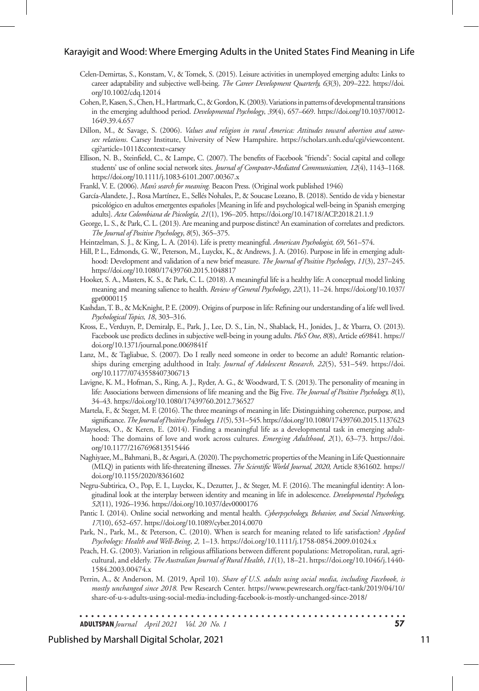- Celen-Demirtas, S., Konstam, V., & Tomek, S. (2015). Leisure activities in unemployed emerging adults: Links to career adaptability and subjective well-being. *The Career Development Quarterly, 63*(3), 209–222. https://doi. org/10.1002/cdq.12014
- Cohen, P., Kasen, S., Chen, H., Hartmark, C., & Gordon, K. (2003). Variations in patterns of developmental transitions in the emerging adulthood period. *Developmental Psychology*, *39*(4), 657–669. https://doi.org/10.1037/0012- 1649.39.4.657
- Dillon, M., & Savage, S. (2006). *Values and religion in rural America: Attitudes toward abortion and samesex relations*. Carsey Institute, University of New Hampshire. https://scholars.unh.edu/cgi/viewcontent. cgi?article=1011&context=carsey
- Ellison, N. B., Steinfield, C., & Lampe, C. (2007). The benefits of Facebook "friends": Social capital and college students' use of online social network sites. *Journal of Computer-Mediated Communication, 12*(4), 1143–1168. https://doi.org/10.1111/j.1083-6101.2007.00367.x
- Frankl, V. E. (2006). *Man's search for meaning.* Beacon Press. (Original work published 1946)
- García-Alandete, J., Rosa Martínez, E., Sellés Nohales, P., & Soucase Lozano, B. (2018). Sentido de vida y bienestar psicológico en adultos emergentes españoles [Meaning in life and psychological well-being in Spanish emerging adults]. *Acta Colombiana de Psicología, 21*(1), 196–205. https://doi.org/10.14718/ACP.2018.21.1.9
- George, L. S., & Park, C. L. (2013). Are meaning and purpose distinct? An examination of correlates and predictors. *The Journal of Positive Psychology*, *8*(5), 365–375.
- Heintzelman, S. J., & King, L. A. (2014). Life is pretty meaningful. *American Psychologist, 69*, 561–574.
- Hill, P. L., Edmonds, G. W., Peterson, M., Luyckx, K., & Andrews, J. A. (2016). Purpose in life in emerging adulthood: Development and validation of a new brief measure. *The Journal of Positive Psychology*, *11*(3), 237–245. https://doi.org/10.1080/17439760.2015.1048817
- Hooker, S. A., Masters, K. S., & Park, C. L. (2018). A meaningful life is a healthy life: A conceptual model linking meaning and meaning salience to health. *Review of General Psychology*, *22*(1), 11–24. https://doi.org/10.1037/ gpr0000115
- Kashdan, T. B., & McKnight, P. E. (2009). Origins of purpose in life: Refining our understanding of a life well lived. *Psychological Topics, 18*, 303–316.
- Kross, E., Verduyn, P., Demiralp, E., Park, J., Lee, D. S., Lin, N., Shablack, H., Jonides, J., & Ybarra, O. (2013). Facebook use predicts declines in subjective well-being in young adults. *PloS One*, *8*(8), Article e69841. https:// doi.org/10.1371/journal.pone.0069841f
- Lanz, M., & Tagliabue, S. (2007). Do I really need someone in order to become an adult? Romantic relationships during emerging adulthood in Italy. *Journal of Adolescent Research, 22*(5), 531–549. https://doi. org/10.1177/0743558407306713
- Lavigne, K. M., Hofman, S., Ring, A. J., Ryder, A. G., & Woodward, T. S. (2013). The personality of meaning in life: Associations between dimensions of life meaning and the Big Five. *The Journal of Positive Psychology, 8*(1), 34–43. https://doi.org/10.1080/17439760.2012.736527
- Martela, F., & Steger, M. F. (2016). The three meanings of meaning in life: Distinguishing coherence, purpose, and significance. *The Journal of Positive Psychology, 11*(5), 531–545. https://doi.org/10.1080/17439760.2015.1137623
- Mayseless, O., & Keren, E. (2014). Finding a meaningful life as a developmental task in emerging adulthood: The domains of love and work across cultures. *Emerging Adulthood*, *2*(1), 63–73. https://doi. org/10.1177/2167696813515446
- Naghiyaee, M., Bahmani, B., & Asgari, A. (2020). The psychometric properties of the Meaning in Life Questionnaire (MLQ) in patients with life-threatening illnesses. *The Scientific World Journal, 2020,* Article 8361602*.* https:// doi.org/10.1155/2020/8361602
- Negru-Subtirica, O., Pop, E. I., Luyckx, K., Dezutter, J., & Steger, M. F. (2016). The meaningful identity: A longitudinal look at the interplay between identity and meaning in life in adolescence. *Developmental Psychology, 52*(11), 1926–1936. https://doi.org/10.1037/dev0000176
- Pantic I. (2014). Online social networking and mental health. *Cyberpsychology, Behavior, and Social Networking*, *17*(10), 652–657. https://doi.org/10.1089/cyber.2014.0070
- Park, N., Park, M., & Peterson, C. (2010). When is search for meaning related to life satisfaction? *Applied Psychology: Health and Well-Being*, *2,* 1–13. https://doi.org/10.1111/j.1758-0854.2009.01024.x
- Peach, H. G. (2003). Variation in religious affiliations between different populations: Metropolitan, rural, agricultural, and elderly. *The Australian Journal of Rural Health*, *11*(1), 18–21. https://doi.org/10.1046/j.1440- 1584.2003.00474.x
- Perrin, A., & Anderson, M. (2019, April 10). *Share of U.S. adults using social media, including Facebook, is mostly unchanged since 2018.* Pew Research Center. https://www.pewresearch.org/fact-tank/2019/04/10/ share-of-u-s-adults-using-social-media-including-facebook-is-mostly-unchanged-since-2018/

. . . . . . . . . . . .

**ADULTSPAN***Journal April 2021 Vol. 20 No. 1* **57**

#### Published by Marshall Digital Scholar, 2021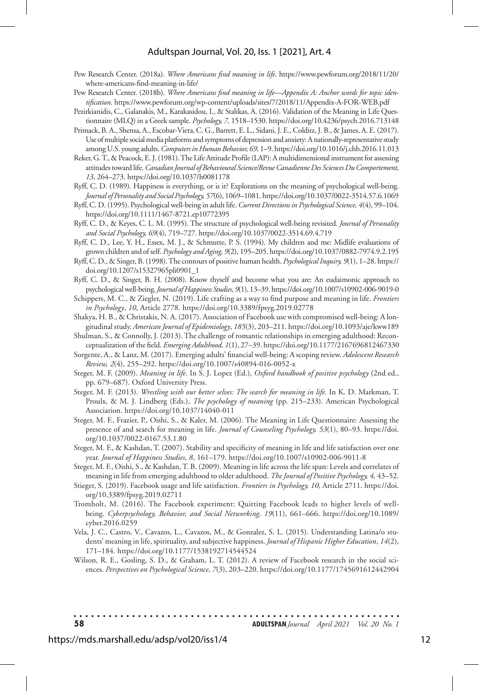#### Adultspan Journal, Vol. 20, Iss. 1 [2021], Art. 4

- Pew Research Center. (2018a). *Where Americans find meaning in life*. https://www.pewforum.org/2018/11/20/ where-americans-find-meaning-in-life/
- Pew Research Center. (2018b). *Where Americans find meaning in life—Appendix A: Anchor words for topic identification*. https://www.pewforum.org/wp-content/uploads/sites/7/2018/11/Appendix-A-FOR-WEB.pdf
- Pezirkianidis, C., Galanakis, M., Karakasidou, I., & Stalikas, A. (2016). Validation of the Meaning in Life Questionnaire (MLQ) in a Greek sample. *Psychology, 7,* 1518–1530. https://doi.org/10.4236/psych.2016.713148
- Primack, B. A., Shensa, A., Escobar-Viera, C. G., Barrett, E. L., Sidani, J. E., Colditz, J. B., & James, A. E. (2017). Use of multiple social media platforms and symptoms of depression and anxiety: A nationally-representative study among U.S. young adults. *Computers in Human Behavior, 69,* 1–9. https://doi.org/10.1016/j.chb.2016.11.013
- Reker, G. T., & Peacock, E. J. (1981). The Life Attitude Profile (LAP): A multidimensional instrument for assessing attitudes toward life. *Canadian Journal of Behavioural Science/Revue Canadienne Des Sciences Du Comportement, 13*, 264–273. https://doi.org/10.1037/h0081178
- Ryff, C. D. (1989). Happiness is everything, or is it? Explorations on the meaning of psychological well-being. *Journal of Personality and Social Psychology, 57*(6), 1069–1081. https://doi.org/10.1037/0022-3514.57.6.1069
- Ryff, C. D. (1995). Psychological well-being in adult life. *Current Directions in Psychological Science, 4*(4), 99–104. https://doi.org/10.1111/1467-8721.ep10772395
- Ryff, C. D., & Keyes, C. L. M. (1995). The structure of psychological well-being revisited. *Journal of Personality and Social Psychology, 69*(4), 719–727. https://doi.org/10.1037/0022-3514.69.4.719
- Ryff, C. D., Lee, Y. H., Essex, M. J., & Schmutte, P. S. (1994). My children and me: Midlife evaluations of grown children and of self. *Psychology and Aging, 9*(2), 195–205. https://doi.org/10.1037/0882-7974.9.2.195
- Ryff, C. D., & Singer, B. (1998). The contours of positive human health. *Psychological Inquiry, 9*(1), 1–28. https:// doi.org/10.1207/s15327965pli0901\_1
- Ryff, C. D., & Singer, B. H. (2008). Know thyself and become what you are: An eudaimonic approach to psychological well-being. *Journal of Happiness Studies*, *9*(1), 13–39. https://doi.org/10.1007/s10902-006-9019-0
- Schippers, M. C., & Ziegler, N. (2019). Life crafting as a way to find purpose and meaning in life. *Frontiers in Psychology*, *10*, Article 2778. https://doi.org/10.3389/fpsyg.2019.02778
- Shakya, H. B., & Christakis, N. A. (2017). Association of Facebook use with compromised well-being: A longitudinal study. *American Journal of Epidemiology*, *185*(3), 203–211. https://doi.org/10.1093/aje/kww189
- Shulman, S., & Connolly, J. (2013). The challenge of romantic relationships in emerging adulthood: Reconceptualization of the field. *Emerging Adulthood, 1*(1), 27–39. https://doi.org/10.1177/2167696812467330
- Sorgente, A., & Lanz, M. (2017). Emerging adults' financial well-being: A scoping review. *Adolescent Research Review, 2*(4), 255–292. https://doi.org/10.1007/s40894-016-0052-x
- Steger, M. F. (2009). *Meaning in life*. In S. J. Lopez (Ed.), *Oxford handbook of positive psychology* (2nd ed., pp. 679–687). Oxford University Press.
- Steger, M. F. (2013). *Wrestling with our better selves: The search for meaning in life.* In K. D. Markman, T. Proulx, & M. J. Lindberg (Eds.), *The psychology of meaning* (pp. 215–233). American Psychological Association. https://doi.org/10.1037/14040-011
- Steger, M. F., Frazier, P., Oishi, S., & Kaler, M. (2006). The Meaning in Life Questionnaire: Assessing the presence of and search for meaning in life. *Journal of Counseling Psychology, 53*(1), 80–93. https://doi. org/10.1037/0022-0167.53.1.80
- Steger, M. F., & Kashdan, T. (2007). Stability and specificity of meaning in life and life satisfaction over one year. *Journal of Happiness Studies*, *8*, 161–179. https://doi.org/10.1007/s10902-006-9011-8
- Steger, M. F., Oishi, S., & Kashdan, T. B. (2009). Meaning in life across the life span: Levels and correlates of meaning in life from emerging adulthood to older adulthood. *The Journal of Positive Psychology, 4,* 43–52.
- Stieger, S. (2019). Facebook usage and life satisfaction. *Frontiers in Psychology, 10*, Article 2711. https://doi. org/10.3389/fpsyg.2019.02711
- Tromholt, M. (2016). The Facebook experiment: Quitting Facebook leads to higher levels of wellbeing. *Cyberpsychology, Behavior, and Social Networking, 19*(11), 661–666. https://doi.org/10.1089/ cyber.2016.0259
- Vela, J. C., Castro, V., Cavazos, L., Cavazos, M., & Gonzalez, S. L. (2015). Understanding Latina/o students' meaning in life, spirituality, and subjective happiness. *Journal of Hispanic Higher Education*, *14*(2), 171–184. https://doi.org/10.1177/1538192714544524
- Wilson, R. E., Gosling, S. D., & Graham, L. T. (2012). A review of Facebook research in the social sciences. *Perspectives on Psychological Science, 7*(3), 203–220. https://doi.org/10.1177/1745691612442904

. . . . . . . . . . . . . . . . . .

. . . . . . . . . **58 ADULTSPAN***Journal April 2021 Vol. 20 No. 1*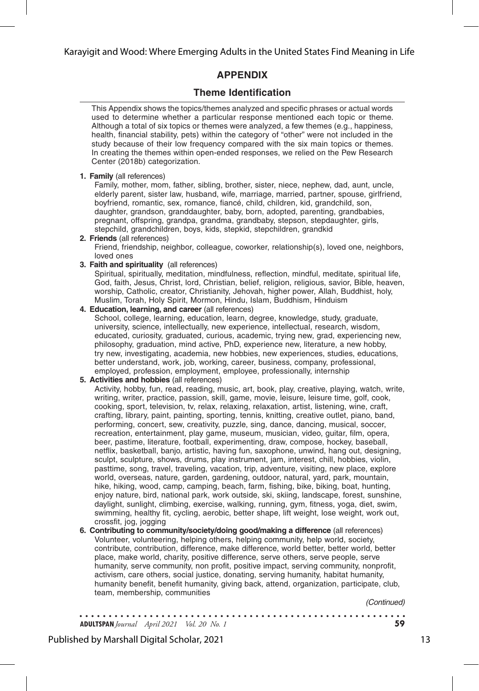# **APPENDIX**

# **Theme Identification**

This Appendix shows the topics/themes analyzed and specific phrases or actual words used to determine whether a particular response mentioned each topic or theme. Although a total of six topics or themes were analyzed, a few themes (e.g., happiness, health, financial stability, pets) within the category of "other" were not included in the study because of their low frequency compared with the six main topics or themes. In creating the themes within open-ended responses, we relied on the Pew Research Center (2018b) categorization.

**1. Family** (all references)

Family, mother, mom, father, sibling, brother, sister, niece, nephew, dad, aunt, uncle, elderly parent, sister law, husband, wife, marriage, married, partner, spouse, girlfriend, boyfriend, romantic, sex, romance, fiancé, child, children, kid, grandchild, son, daughter, grandson, granddaughter, baby, born, adopted, parenting, grandbabies, pregnant, offspring, grandpa, grandma, grandbaby, stepson, stepdaughter, girls, stepchild, grandchildren, boys, kids, stepkid, stepchildren, grandkid

- **2. Friends** (all references) Friend, friendship, neighbor, colleague, coworker, relationship(s), loved one, neighbors, loved ones
- **3. Faith and spirituality** (all references)

Spiritual, spiritually, meditation, mindfulness, reflection, mindful, meditate, spiritual life, God, faith, Jesus, Christ, lord, Christian, belief, religion, religious, savior, Bible, heaven, worship, Catholic, creator, Christianity, Jehovah, higher power, Allah, Buddhist, holy, Muslim, Torah, Holy Spirit, Mormon, Hindu, Islam, Buddhism, Hinduism

**4. Education, learning, and career** (all references)

School, college, learning, education, learn, degree, knowledge, study, graduate, university, science, intellectually, new experience, intellectual, research, wisdom, educated, curiosity, graduated, curious, academic, trying new, grad, experiencing new, philosophy, graduation, mind active, PhD, experience new, literature, a new hobby, try new, investigating, academia, new hobbies, new experiences, studies, educations, better understand, work, job, working, career, business, company, professional, employed, profession, employment, employee, professionally, internship

#### **5. Activities and hobbies** (all references)

Activity, hobby, fun, read, reading, music, art, book, play, creative, playing, watch, write, writing, writer, practice, passion, skill, game, movie, leisure, leisure time, golf, cook, cooking, sport, television, tv, relax, relaxing, relaxation, artist, listening, wine, craft, crafting, library, paint, painting, sporting, tennis, knitting, creative outlet, piano, band, performing, concert, sew, creativity, puzzle, sing, dance, dancing, musical, soccer, recreation, entertainment, play game, museum, musician, video, guitar, film, opera, beer, pastime, literature, football, experimenting, draw, compose, hockey, baseball, netflix, basketball, banjo, artistic, having fun, saxophone, unwind, hang out, designing, sculpt, sculpture, shows, drums, play instrument, jam, interest, chill, hobbies, violin, pasttime, song, travel, traveling, vacation, trip, adventure, visiting, new place, explore world, overseas, nature, garden, gardening, outdoor, natural, yard, park, mountain, hike, hiking, wood, camp, camping, beach, farm, fishing, bike, biking, boat, hunting, enjoy nature, bird, national park, work outside, ski, skiing, landscape, forest, sunshine, daylight, sunlight, climbing, exercise, walking, running, gym, fitness, yoga, diet, swim, swimming, healthy fit, cycling, aerobic, better shape, lift weight, lose weight, work out, crossfit, jog, jogging

**6. Contributing to community/society/doing good/making a difference** (all references) Volunteer, volunteering, helping others, helping community, help world, society, contribute, contribution, difference, make difference, world better, better world, better place, make world, charity, positive difference, serve others, serve people, serve humanity, serve community, non profit, positive impact, serving community, nonprofit, activism, care others, social justice, donating, serving humanity, habitat humanity, humanity benefit, benefit humanity, giving back, attend, organization, participate, club, team, membership, communities

 *(Continued)*

. . . . . . . . . . . . . . . . . **ADULTSPAN***Journal April 2021 Vol. 20 No. 1* **59**

Published by Marshall Digital Scholar, 2021